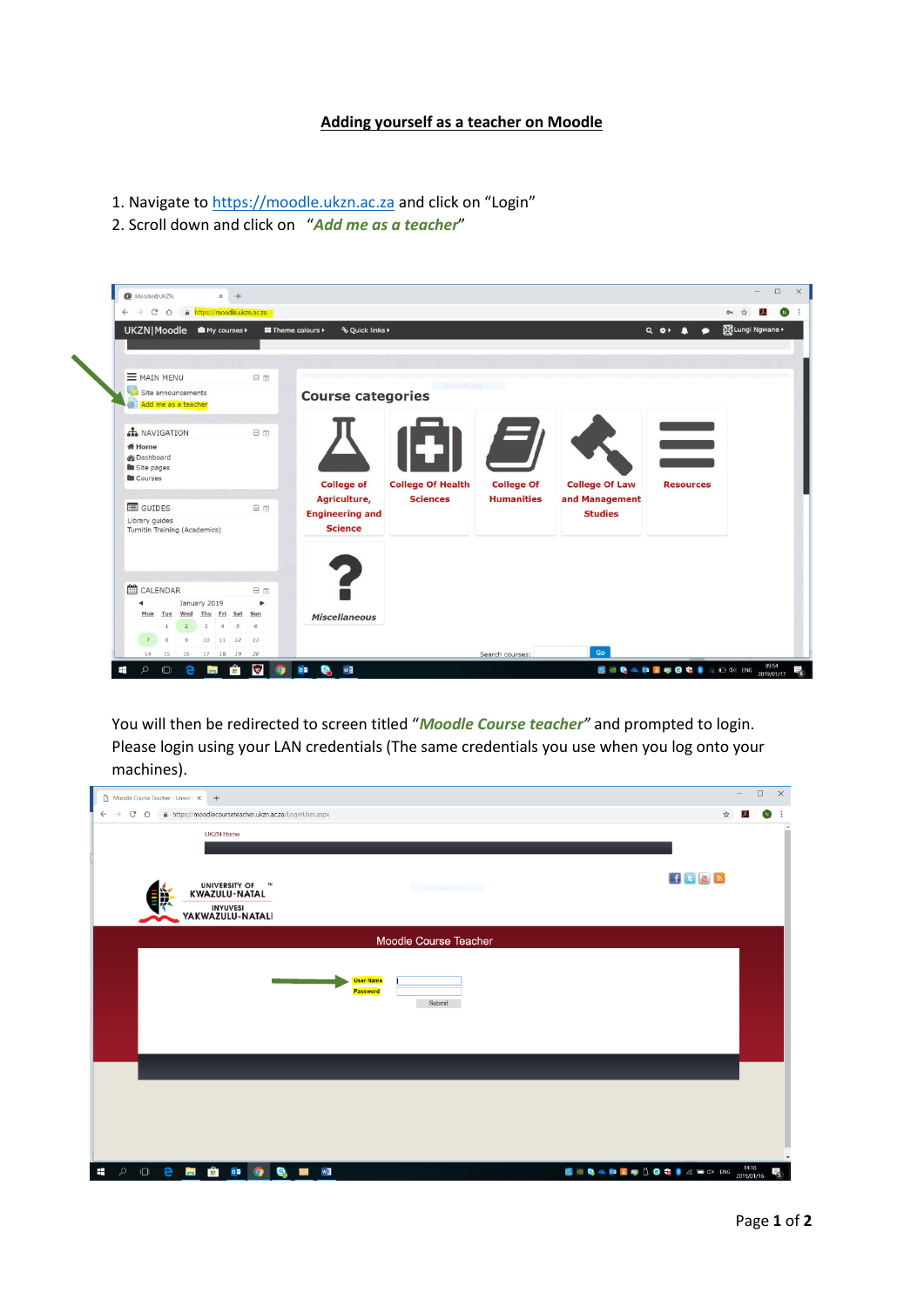## **Adding yourself as a teacher on Moodle**

- 1. Navigate to [https://moodle.ukzn.ac.za](https://moodle.ukzn.ac.za/) and click on "Login"
- 2. Scroll down and click on "*Add me as a teacher*"



You will then be redirected to screen titled "*Moodle Course teacher"* and prompted to login. Please login using your LAN credentials (The same credentials you use when you log onto your machines).

| Moodle Course Teacher - Univers X<br>$+$            |                                                       | $\overline{\phantom{a}}$ |                             | $\Box$         | $\boldsymbol{\times}$ |
|-----------------------------------------------------|-------------------------------------------------------|--------------------------|-----------------------------|----------------|-----------------------|
| $\leftarrow$<br>$\mathcal{C}$<br>$\rightarrow$<br>⇧ | https://moodlecourseteacher.ukzn.ac.za/LoginUser.aspx | ☆                        | $\mathcal{F}_{\mathcal{A}}$ | $\blacksquare$ | - :                   |
| <b>UKZN Home</b>                                    |                                                       |                          |                             |                |                       |
|                                                     |                                                       |                          |                             |                |                       |
|                                                     |                                                       |                          |                             |                |                       |
| UNIVERSITY OF THE WAZULU-NATAL                      | $f$ t $B$ $\mathbb{R}$<br>Full-screen Snip            |                          |                             |                |                       |
|                                                     |                                                       |                          |                             |                |                       |
| INYUVESI<br>YAKWAZULU-NATALI                        |                                                       |                          |                             |                |                       |
| Moodle Course Teacher                               |                                                       |                          |                             |                |                       |
|                                                     |                                                       |                          |                             |                |                       |
|                                                     | <b>User Name</b>                                      |                          |                             |                |                       |
|                                                     | <b>Password</b>                                       |                          |                             |                |                       |
|                                                     | Submit                                                |                          |                             |                |                       |
|                                                     |                                                       |                          |                             |                |                       |
|                                                     |                                                       |                          |                             |                |                       |
|                                                     |                                                       |                          |                             |                |                       |
|                                                     |                                                       |                          |                             |                |                       |
|                                                     |                                                       |                          |                             |                |                       |
|                                                     |                                                       |                          |                             |                |                       |
|                                                     |                                                       |                          |                             |                |                       |
|                                                     |                                                       |                          |                             |                |                       |
| <b>第一章</b><br>$\varphi$<br>$\circ$ e<br>$\pm$       | <b>DE 19</b><br>w<br>Q<br>N                           |                          |                             |                |                       |